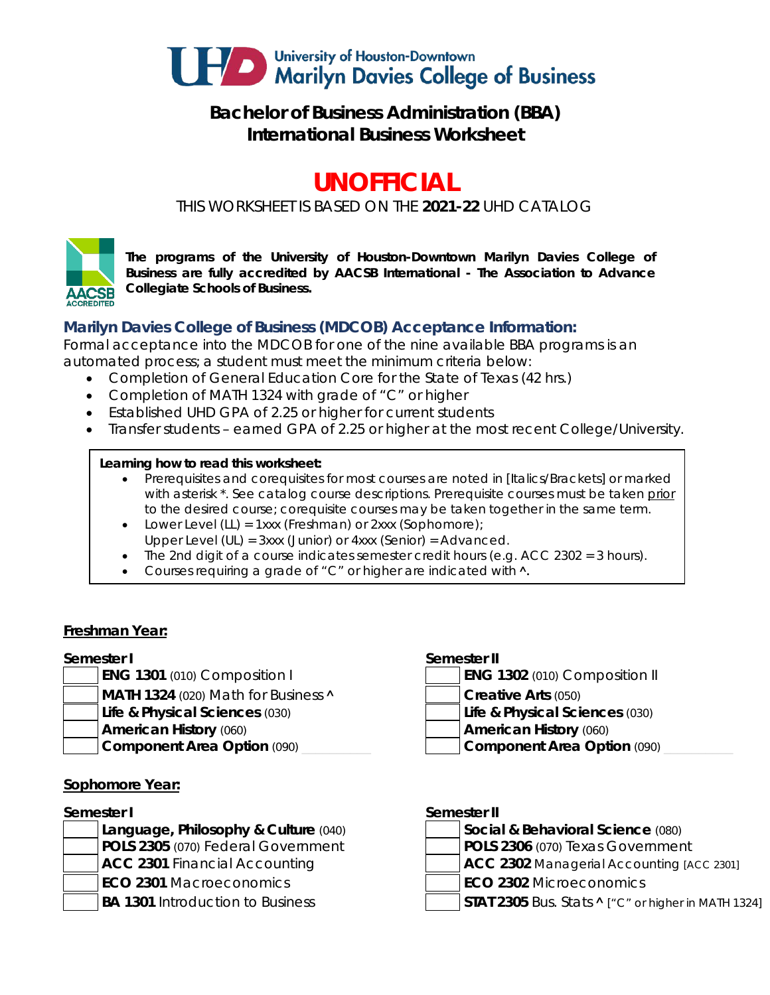

# **Bachelor of Business Administration (BBA) International Business Worksheet**

# **UNOFFICIAL**

*THIS WORKSHEET IS BASED ON THE 2021-22 UHD CATALOG*



*The programs of the University of Houston-Downtown Marilyn Davies College of Business are fully accredited by AACSB International - The Association to Advance Collegiate Schools of Business.*

# **Marilyn Davies College of Business (MDCOB) Acceptance Information:**

Formal acceptance into the MDCOB for one of the nine available BBA programs is an automated process; a student must meet the minimum criteria below:

- Completion of General Education Core for the State of Texas (42 hrs.)
- Completion of MATH 1324 with grade of "C" or higher
- Established UHD GPA of 2.25 or higher for current students
- Transfer students earned GPA of 2.25 or higher at the most recent College/University.

#### **Learning how to read this worksheet:**

- Prerequisites and corequisites for most courses are noted in *[Italics/Brackets]* or marked with asterisk \*. See catalog course descriptions. Prerequisite courses must be taken prior to the desired course; corequisite courses may be taken together in the same term.
- Lower Level (LL) = 1xxx (Freshman) or 2xxx (Sophomore);
- Upper Level (UL) = 3xxx (Junior) or 4xxx (Senior) = Advanced.
- The 2nd digit of a course indicates semester credit hours (e.g. ACC 2302 = 3 hours).
- Courses requiring a grade of "C" or higher are indicated with  $\lambda$ .

### **Freshman Year:**

### **Semester I Semester II**

- **ENG 1301** (010) Composition I
- **MATH 1324** (020) Math for Business **A Creative Arts** (050)
- **Life & Physical Sciences** (030) **Life & Physical Sciences** (030)
- -

### **Sophomore Year:**

- **Language, Philosophy & Culture (040) POLS 2305** (070) Federal Government **ACC 2301** Financial Accounting **ACC 2302** Managerial Accounting *[ACC 2301]* **ECO 2301** Macroeconomics **ECO 2302** Microeconomics
- 
- 

| <b>ENG 1302</b> (010) Composition II |  |  |
|--------------------------------------|--|--|
|--------------------------------------|--|--|

- 
- **American History** (060) **American History** (060)
- **Component Area Option** (090) **Later Component Area Option** (090)

#### **Semester I Semester II**

| Social & Behavioral Science (080)               |  |
|-------------------------------------------------|--|
| POLS 2306 (070) Texas Government                |  |
| <b>ACC 2302</b> Managerial Accounting LACC 2301 |  |

- 
- 
- BA 1301 Introduction to Business **STAT 2305** Bus. Stats **^** ["C" or higher in MATH 1324]